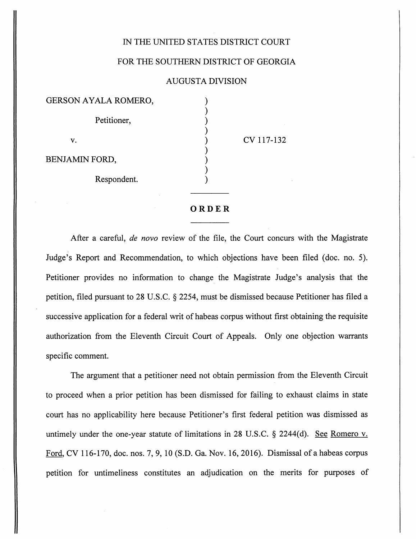## IN THE UNITED STATES DISTRICT COURT

## FOR THE SOUTHERN DISTRICT OF GEORGIA

## AUGUSTA DIVISION

| GERSON AYALA ROMERO,  |
|-----------------------|
| Petitioner,           |
| v.                    |
| <b>BENJAMIN FORD,</b> |
| Respondent.           |

CV 117-132

[Dockets.Justia.com](https://dockets.justia.com/)

## *ORDER*

After a careful, **de novo** review of the file, the Court concurs with the Magistrate Judge's Report and Recommendation, to which objections have been filed (doc. no. 5). Petitioner provides no information to change the Magistrate Judge's analysis that the petition, filed pursuant to 28 U.S.C. § 2254, must be dismissed because Petitioner has filed a successive application for a federal writ of habeas corpus without first obtaining the requisite authorization from the Eleventh Circuit Court of Appeals. Only one objection warrants specific comment.

The argument that a petitioner need not obtain permission from the Eleventh Circuit to proceed when a prior petition has been dismissed for failing to exhaust claims in state court has no applicability here because Petitioner's first federal petition was dismissed as untimely under the one-year statute of limitations in 28 U.S.C. § 2244(d). See Romero v. Ford, CV 116-170, doc. nos. 7, 9, 10 (S.D. Ga. Nov. 16, 2016). Dismissal of a habeas corpus petition for untimeliness constitutes an adjudication on the merits for purposes of